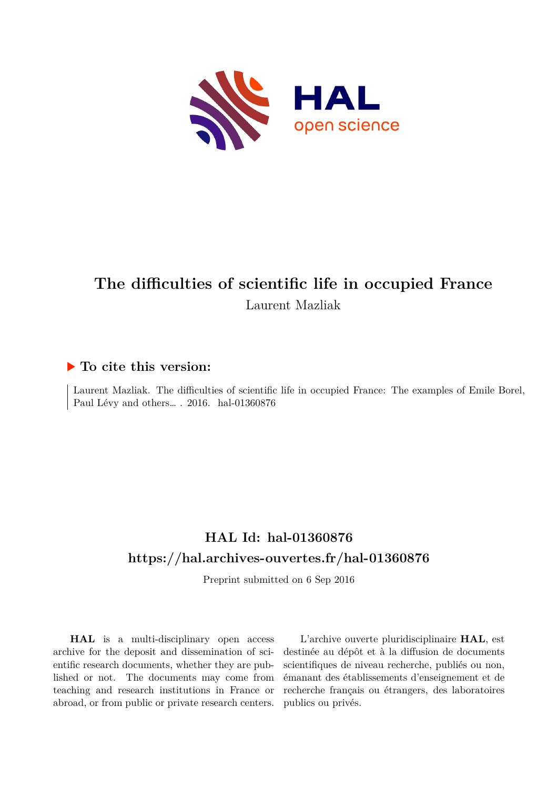

# **The difficulties of scientific life in occupied France** Laurent Mazliak

## **To cite this version:**

Laurent Mazliak. The difficulties of scientific life in occupied France: The examples of Emile Borel, Paul Lévy and others... . 2016. hal-01360876

## **HAL Id: hal-01360876 <https://hal.archives-ouvertes.fr/hal-01360876>**

Preprint submitted on 6 Sep 2016

**HAL** is a multi-disciplinary open access archive for the deposit and dissemination of scientific research documents, whether they are published or not. The documents may come from teaching and research institutions in France or abroad, or from public or private research centers.

L'archive ouverte pluridisciplinaire **HAL**, est destinée au dépôt et à la diffusion de documents scientifiques de niveau recherche, publiés ou non, émanant des établissements d'enseignement et de recherche français ou étrangers, des laboratoires publics ou privés.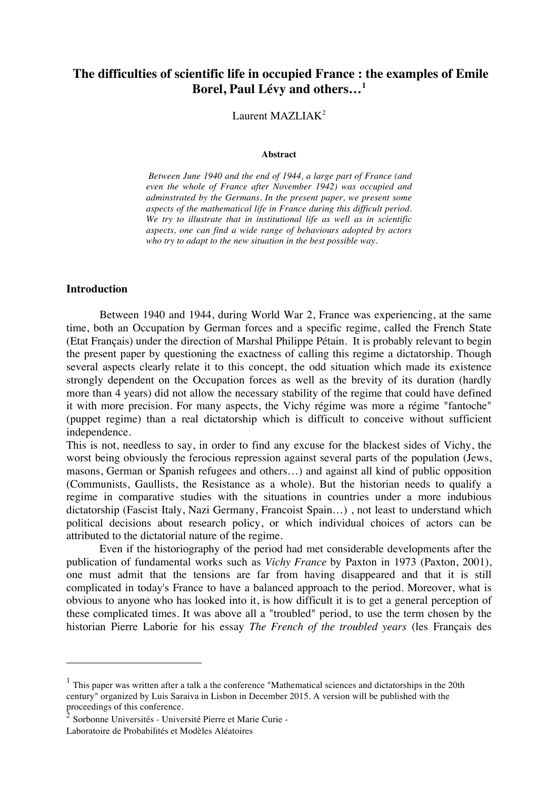## **The difficulties of scientific life in occupied France : the examples of Emile Borel, Paul Lévy and others…1**

#### Laurent MAZLIA $K^2$

#### **Abstract**

*Between June 1940 and the end of 1944, a large part of France (and even the whole of France after November 1942) was occupied and adminstrated by the Germans. In the present paper, we present some aspects of the mathematical life in France during this difficult period. We try to illustrate that in institutional life as well as in scientific aspects, one can find a wide range of behaviours adopted by actors who try to adapt to the new situation in the best possible way.*

#### **Introduction**

 $\overline{a}$ 

Between 1940 and 1944, during World War 2, France was experiencing, at the same time, both an Occupation by German forces and a specific regime, called the French State (Etat Français) under the direction of Marshal Philippe Pétain. It is probably relevant to begin the present paper by questioning the exactness of calling this regime a dictatorship. Though several aspects clearly relate it to this concept, the odd situation which made its existence strongly dependent on the Occupation forces as well as the brevity of its duration (hardly more than 4 years) did not allow the necessary stability of the regime that could have defined it with more precision. For many aspects, the Vichy régime was more a régime "fantoche" (puppet regime) than a real dictatorship which is difficult to conceive without sufficient independence.

This is not, needless to say, in order to find any excuse for the blackest sides of Vichy, the worst being obviously the ferocious repression against several parts of the population (Jews, masons, German or Spanish refugees and others…) and against all kind of public opposition (Communists, Gaullists, the Resistance as a whole). But the historian needs to qualify a regime in comparative studies with the situations in countries under a more indubious dictatorship (Fascist Italy, Nazi Germany, Francoist Spain…) , not least to understand which political decisions about research policy, or which individual choices of actors can be attributed to the dictatorial nature of the regime.

Even if the historiography of the period had met considerable developments after the publication of fundamental works such as *Vichy France* by Paxton in 1973 (Paxton, 2001), one must admit that the tensions are far from having disappeared and that it is still complicated in today's France to have a balanced approach to the period. Moreover, what is obvious to anyone who has looked into it, is how difficult it is to get a general perception of these complicated times. It was above all a "troubled" period, to use the term chosen by the historian Pierre Laborie for his essay *The French of the troubled years* (les Français des

 $1$  This paper was written after a talk a the conference "Mathematical sciences and dictatorships in the 20th century" organized by Luis Saraiva in Lisbon in December 2015. A version will be published with the proceedings of this conference.

<sup>2</sup> Sorbonne Universités - Université Pierre et Marie Curie - Laboratoire de Probabilités et Modèles Aléatoires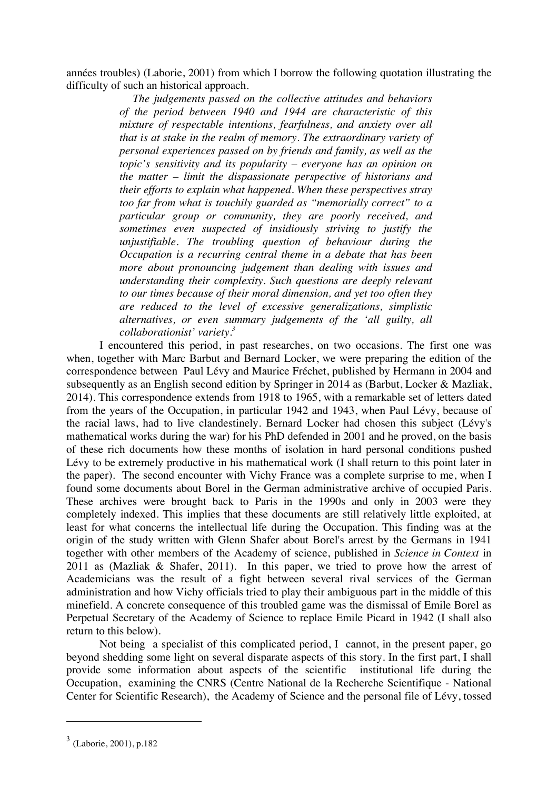années troubles) (Laborie, 2001) from which I borrow the following quotation illustrating the difficulty of such an historical approach.

> *The judgements passed on the collective attitudes and behaviors of the period between 1940 and 1944 are characteristic of this mixture of respectable intentions, fearfulness, and anxiety over all that is at stake in the realm of memory. The extraordinary variety of personal experiences passed on by friends and family, as well as the topic's sensitivity and its popularity – everyone has an opinion on the matter – limit the dispassionate perspective of historians and their efforts to explain what happened. When these perspectives stray too far from what is touchily guarded as "memorially correct" to a particular group or community, they are poorly received, and sometimes even suspected of insidiously striving to justify the unjustifiable. The troubling question of behaviour during the Occupation is a recurring central theme in a debate that has been more about pronouncing judgement than dealing with issues and understanding their complexity. Such questions are deeply relevant to our times because of their moral dimension, and yet too often they are reduced to the level of excessive generalizations, simplistic alternatives, or even summary judgements of the 'all guilty, all collaborationist' variety.3*

I encountered this period, in past researches, on two occasions. The first one was when, together with Marc Barbut and Bernard Locker, we were preparing the edition of the correspondence between Paul Lévy and Maurice Fréchet, published by Hermann in 2004 and subsequently as an English second edition by Springer in 2014 as (Barbut, Locker & Mazliak, 2014). This correspondence extends from 1918 to 1965, with a remarkable set of letters dated from the years of the Occupation, in particular 1942 and 1943, when Paul Lévy, because of the racial laws, had to live clandestinely. Bernard Locker had chosen this subject (Lévy's mathematical works during the war) for his PhD defended in 2001 and he proved, on the basis of these rich documents how these months of isolation in hard personal conditions pushed Lévy to be extremely productive in his mathematical work (I shall return to this point later in the paper). The second encounter with Vichy France was a complete surprise to me, when I found some documents about Borel in the German administrative archive of occupied Paris. These archives were brought back to Paris in the 1990s and only in 2003 were they completely indexed. This implies that these documents are still relatively little exploited, at least for what concerns the intellectual life during the Occupation. This finding was at the origin of the study written with Glenn Shafer about Borel's arrest by the Germans in 1941 together with other members of the Academy of science, published in *Science in Context* in 2011 as (Mazliak & Shafer, 2011). In this paper, we tried to prove how the arrest of Academicians was the result of a fight between several rival services of the German administration and how Vichy officials tried to play their ambiguous part in the middle of this minefield. A concrete consequence of this troubled game was the dismissal of Emile Borel as Perpetual Secretary of the Academy of Science to replace Emile Picard in 1942 (I shall also return to this below).

Not being a specialist of this complicated period, I cannot, in the present paper, go beyond shedding some light on several disparate aspects of this story. In the first part, I shall provide some information about aspects of the scientific institutional life during the Occupation, examining the CNRS (Centre National de la Recherche Scientifique - National Center for Scientific Research), the Academy of Science and the personal file of Lévy, tossed

 $3$  (Laborie, 2001), p.182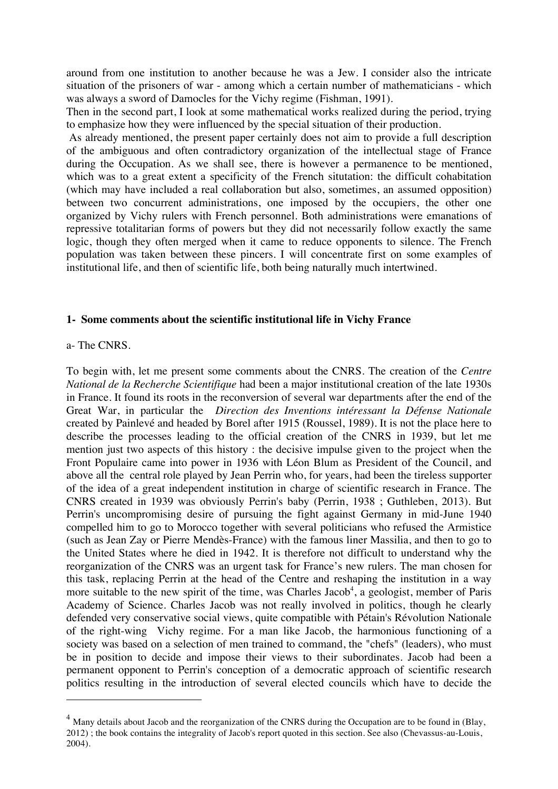around from one institution to another because he was a Jew. I consider also the intricate situation of the prisoners of war - among which a certain number of mathematicians - which was always a sword of Damocles for the Vichy regime (Fishman, 1991).

Then in the second part, I look at some mathematical works realized during the period, trying to emphasize how they were influenced by the special situation of their production.

 As already mentioned, the present paper certainly does not aim to provide a full description of the ambiguous and often contradictory organization of the intellectual stage of France during the Occupation. As we shall see, there is however a permanence to be mentioned, which was to a great extent a specificity of the French situtation: the difficult cohabitation (which may have included a real collaboration but also, sometimes, an assumed opposition) between two concurrent administrations, one imposed by the occupiers, the other one organized by Vichy rulers with French personnel. Both administrations were emanations of repressive totalitarian forms of powers but they did not necessarily follow exactly the same logic, though they often merged when it came to reduce opponents to silence. The French population was taken between these pincers. I will concentrate first on some examples of institutional life, and then of scientific life, both being naturally much intertwined.

#### **1- Some comments about the scientific institutional life in Vichy France**

#### a- The CNRS.

 $\overline{a}$ 

To begin with, let me present some comments about the CNRS. The creation of the *Centre National de la Recherche Scientifique* had been a major institutional creation of the late 1930s in France. It found its roots in the reconversion of several war departments after the end of the Great War, in particular the *Direction des Inventions intéressant la Défense Nationale* created by Painlevé and headed by Borel after 1915 (Roussel, 1989). It is not the place here to describe the processes leading to the official creation of the CNRS in 1939, but let me mention just two aspects of this history : the decisive impulse given to the project when the Front Populaire came into power in 1936 with Léon Blum as President of the Council, and above all the central role played by Jean Perrin who, for years, had been the tireless supporter of the idea of a great independent institution in charge of scientific research in France. The CNRS created in 1939 was obviously Perrin's baby (Perrin, 1938 ; Guthleben, 2013). But Perrin's uncompromising desire of pursuing the fight against Germany in mid-June 1940 compelled him to go to Morocco together with several politicians who refused the Armistice (such as Jean Zay or Pierre Mendès-France) with the famous liner Massilia, and then to go to the United States where he died in 1942. It is therefore not difficult to understand why the reorganization of the CNRS was an urgent task for France's new rulers. The man chosen for this task, replacing Perrin at the head of the Centre and reshaping the institution in a way more suitable to the new spirit of the time, was Charles Jacob<sup>4</sup>, a geologist, member of Paris Academy of Science. Charles Jacob was not really involved in politics, though he clearly defended very conservative social views, quite compatible with Pétain's Révolution Nationale of the right-wing Vichy regime. For a man like Jacob, the harmonious functioning of a society was based on a selection of men trained to command, the "chefs" (leaders), who must be in position to decide and impose their views to their subordinates. Jacob had been a permanent opponent to Perrin's conception of a democratic approach of scientific research politics resulting in the introduction of several elected councils which have to decide the

<sup>&</sup>lt;sup>4</sup> Many details about Jacob and the reorganization of the CNRS during the Occupation are to be found in (Blay, 2012) ; the book contains the integrality of Jacob's report quoted in this section. See also (Chevassus-au-Louis, 2004).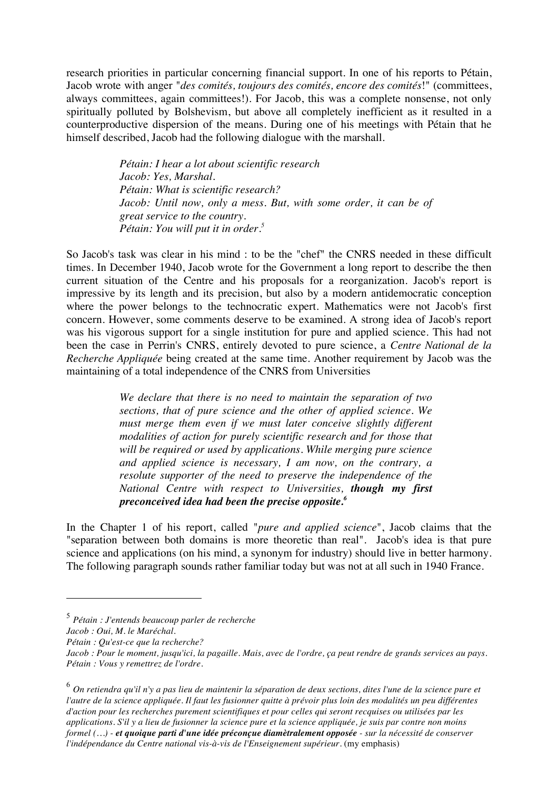research priorities in particular concerning financial support. In one of his reports to Pétain, Jacob wrote with anger "*des comités, toujours des comités, encore des comités*!" (committees, always committees, again committees!). For Jacob, this was a complete nonsense, not only spiritually polluted by Bolshevism, but above all completely inefficient as it resulted in a counterproductive dispersion of the means. During one of his meetings with Pétain that he himself described, Jacob had the following dialogue with the marshall.

> *Pétain: I hear a lot about scientific research Jacob: Yes, Marshal. Pétain: What is scientific research?* Jacob: Until now, only a mess. But, with some order, it can be of *great service to the country. Pétain: You will put it in order. 5*

So Jacob's task was clear in his mind : to be the "chef" the CNRS needed in these difficult times. In December 1940, Jacob wrote for the Government a long report to describe the then current situation of the Centre and his proposals for a reorganization. Jacob's report is impressive by its length and its precision, but also by a modern antidemocratic conception where the power belongs to the technocratic expert. Mathematics were not Jacob's first concern. However, some comments deserve to be examined. A strong idea of Jacob's report was his vigorous support for a single institution for pure and applied science. This had not been the case in Perrin's CNRS, entirely devoted to pure science, a *Centre National de la Recherche Appliquée* being created at the same time. Another requirement by Jacob was the maintaining of a total independence of the CNRS from Universities

> *We declare that there is no need to maintain the separation of two sections, that of pure science and the other of applied science. We must merge them even if we must later conceive slightly different modalities of action for purely scientific research and for those that will be required or used by applications. While merging pure science and applied science is necessary, I am now, on the contrary, a resolute supporter of the need to preserve the independence of the National Centre with respect to Universities, though my first preconceived idea had been the precise opposite. 6*

In the Chapter 1 of his report, called "*pure and applied science*", Jacob claims that the "separation between both domains is more theoretic than real". Jacob's idea is that pure science and applications (on his mind, a synonym for industry) should live in better harmony. The following paragraph sounds rather familiar today but was not at all such in 1940 France.

 $\overline{a}$ 

*Pétain : Qu'est-ce que la recherche?*

<sup>6</sup> *On retiendra qu'il n'y a pas lieu de maintenir la séparation de deux sections, dites l'une de la science pure et l'autre de la science appliquée. Il faut les fusionner quitte à prévoir plus loin des modalités un peu différentes d'action pour les recherches purement scientifiques et pour celles qui seront recquises ou utilisées par les applications. S'il y a lieu de fusionner la science pure et la science appliquée, je suis par contre non moins formel (…) - et quoique parti d'une idée préconçue diamètralement opposée - sur la nécessité de conserver l'indépendance du Centre national vis-à-vis de l'Enseignement supérieur.* (my emphasis)

<sup>5</sup> *Pétain : J'entends beaucoup parler de recherche*

*Jacob : Oui, M. le Maréchal.*

*Jacob : Pour le moment, jusqu'ici, la pagaille. Mais, avec de l'ordre, ça peut rendre de grands services au pays. Pétain : Vous y remettrez de l'ordre.*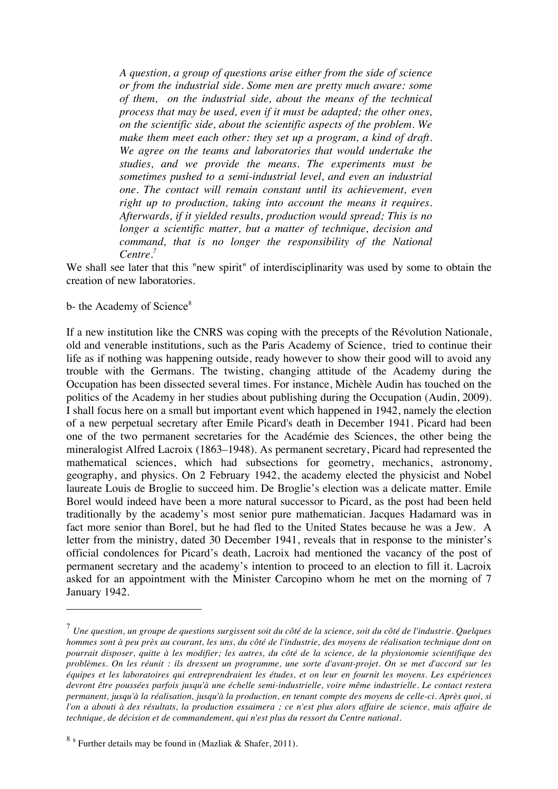*A question, a group of questions arise either from the side of science or from the industrial side. Some men are pretty much aware: some of them, on the industrial side, about the means of the technical process that may be used, even if it must be adapted; the other ones, on the scientific side, about the scientific aspects of the problem. We make them meet each other: they set up a program, a kind of draft. We agree on the teams and laboratories that would undertake the studies, and we provide the means. The experiments must be sometimes pushed to a semi-industrial level, and even an industrial one. The contact will remain constant until its achievement, even right up to production, taking into account the means it requires. Afterwards, if it yielded results, production would spread; This is no longer a scientific matter, but a matter of technique, decision and command, that is no longer the responsibility of the National Centre. 7*

We shall see later that this "new spirit" of interdisciplinarity was used by some to obtain the creation of new laboratories.

#### b- the Academy of Science<sup>8</sup>

 $\overline{a}$ 

If a new institution like the CNRS was coping with the precepts of the Révolution Nationale, old and venerable institutions, such as the Paris Academy of Science, tried to continue their life as if nothing was happening outside, ready however to show their good will to avoid any trouble with the Germans. The twisting, changing attitude of the Academy during the Occupation has been dissected several times. For instance, Michèle Audin has touched on the politics of the Academy in her studies about publishing during the Occupation (Audin, 2009). I shall focus here on a small but important event which happened in 1942, namely the election of a new perpetual secretary after Emile Picard's death in December 1941. Picard had been one of the two permanent secretaries for the Académie des Sciences, the other being the mineralogist Alfred Lacroix (1863–1948). As permanent secretary, Picard had represented the mathematical sciences, which had subsections for geometry, mechanics, astronomy, geography, and physics. On 2 February 1942, the academy elected the physicist and Nobel laureate Louis de Broglie to succeed him. De Broglie's election was a delicate matter. Emile Borel would indeed have been a more natural successor to Picard, as the post had been held traditionally by the academy's most senior pure mathematician. Jacques Hadamard was in fact more senior than Borel, but he had fled to the United States because he was a Jew. A letter from the ministry, dated 30 December 1941, reveals that in response to the minister's official condolences for Picard's death, Lacroix had mentioned the vacancy of the post of permanent secretary and the academy's intention to proceed to an election to fill it. Lacroix asked for an appointment with the Minister Carcopino whom he met on the morning of 7 January 1942.

<sup>7</sup> *Une question, un groupe de questions surgissent soit du côté de la science, soit du côté de l'industrie. Quelques hommes sont à peu près au courant, les uns, du côté de l'industrie, des moyens de réalisation technique dont on pourrait disposer, quitte à les modifier; les autres, du côté de la science, de la physionomie scientifique des problèmes. On les réunit : ils dressent un programme, une sorte d'avant-projet. On se met d'accord sur les équipes et les laboratoires qui entreprendraient les études, et on leur en fournit les moyens. Les expériences devront être poussées parfois jusqu'à une échelle semi-industrielle, voire même industrielle. Le contact restera permanent, jusqu'à la réalisation, jusqu'à la production, en tenant compte des moyens de celle-ci. Après quoi, si l'on a abouti à des résultats, la production essaimera ; ce n'est plus alors affaire de science, mais affaire de technique, de décision et de commandement, qui n'est plus du ressort du Centre national.* 

 $88$  Further details may be found in (Mazliak & Shafer, 2011).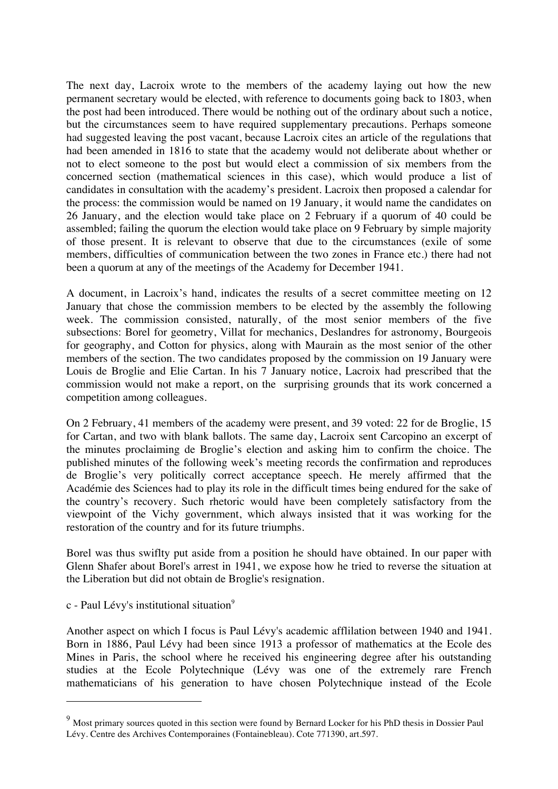The next day, Lacroix wrote to the members of the academy laying out how the new permanent secretary would be elected, with reference to documents going back to 1803, when the post had been introduced. There would be nothing out of the ordinary about such a notice, but the circumstances seem to have required supplementary precautions. Perhaps someone had suggested leaving the post vacant, because Lacroix cites an article of the regulations that had been amended in 1816 to state that the academy would not deliberate about whether or not to elect someone to the post but would elect a commission of six members from the concerned section (mathematical sciences in this case), which would produce a list of candidates in consultation with the academy's president. Lacroix then proposed a calendar for the process: the commission would be named on 19 January, it would name the candidates on 26 January, and the election would take place on 2 February if a quorum of 40 could be assembled; failing the quorum the election would take place on 9 February by simple majority of those present. It is relevant to observe that due to the circumstances (exile of some members, difficulties of communication between the two zones in France etc.) there had not been a quorum at any of the meetings of the Academy for December 1941.

A document, in Lacroix's hand, indicates the results of a secret committee meeting on 12 January that chose the commission members to be elected by the assembly the following week. The commission consisted, naturally, of the most senior members of the five subsections: Borel for geometry, Villat for mechanics, Deslandres for astronomy, Bourgeois for geography, and Cotton for physics, along with Maurain as the most senior of the other members of the section. The two candidates proposed by the commission on 19 January were Louis de Broglie and Elie Cartan. In his 7 January notice, Lacroix had prescribed that the commission would not make a report, on the surprising grounds that its work concerned a competition among colleagues.

On 2 February, 41 members of the academy were present, and 39 voted: 22 for de Broglie, 15 for Cartan, and two with blank ballots. The same day, Lacroix sent Carcopino an excerpt of the minutes proclaiming de Broglie's election and asking him to confirm the choice. The published minutes of the following week's meeting records the confirmation and reproduces de Broglie's very politically correct acceptance speech. He merely affirmed that the Académie des Sciences had to play its role in the difficult times being endured for the sake of the country's recovery. Such rhetoric would have been completely satisfactory from the viewpoint of the Vichy government, which always insisted that it was working for the restoration of the country and for its future triumphs.

Borel was thus swiflty put aside from a position he should have obtained. In our paper with Glenn Shafer about Borel's arrest in 1941, we expose how he tried to reverse the situation at the Liberation but did not obtain de Broglie's resignation.

c - Paul Lévy's institutional situation<sup>9</sup>

 $\overline{a}$ 

Another aspect on which I focus is Paul Lévy's academic afflilation between 1940 and 1941. Born in 1886, Paul Lévy had been since 1913 a professor of mathematics at the Ecole des Mines in Paris, the school where he received his engineering degree after his outstanding studies at the Ecole Polytechnique (Lévy was one of the extremely rare French mathematicians of his generation to have chosen Polytechnique instead of the Ecole

<sup>&</sup>lt;sup>9</sup> Most primary sources quoted in this section were found by Bernard Locker for his PhD thesis in Dossier Paul Lévy. Centre des Archives Contemporaines (Fontainebleau). Cote 771390, art.597.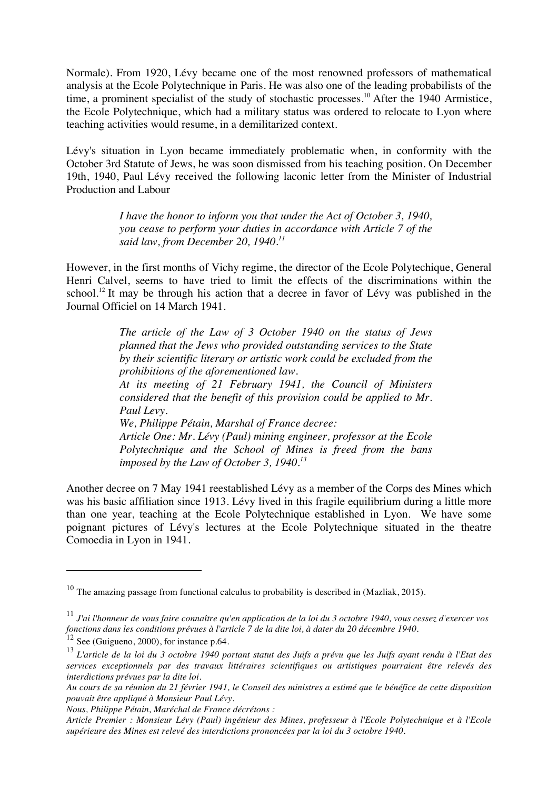Normale). From 1920, Lévy became one of the most renowned professors of mathematical analysis at the Ecole Polytechnique in Paris. He was also one of the leading probabilists of the time, a prominent specialist of the study of stochastic processes.<sup>10</sup> After the 1940 Armistice, the Ecole Polytechnique, which had a military status was ordered to relocate to Lyon where teaching activities would resume, in a demilitarized context.

Lévy's situation in Lyon became immediately problematic when, in conformity with the October 3rd Statute of Jews, he was soon dismissed from his teaching position. On December 19th, 1940, Paul Lévy received the following laconic letter from the Minister of Industrial Production and Labour

> *I have the honor to inform you that under the Act of October 3, 1940, you cease to perform your duties in accordance with Article 7 of the said law, from December 20, 1940. 11*

However, in the first months of Vichy regime, the director of the Ecole Polytechique, General Henri Calvel, seems to have tried to limit the effects of the discriminations within the school.<sup>12</sup> It may be through his action that a decree in favor of Lévy was published in the Journal Officiel on 14 March 1941.

> *The article of the Law of 3 October 1940 on the status of Jews planned that the Jews who provided outstanding services to the State by their scientific literary or artistic work could be excluded from the prohibitions of the aforementioned law. At its meeting of 21 February 1941, the Council of Ministers considered that the benefit of this provision could be applied to Mr. Paul Levy. We, Philippe Pétain, Marshal of France decree:*

*Article One: Mr. Lévy (Paul) mining engineer, professor at the Ecole Polytechnique and the School of Mines is freed from the bans imposed by the Law of October 3, 1940. 13*

Another decree on 7 May 1941 reestablished Lévy as a member of the Corps des Mines which was his basic affiliation since 1913. Lévy lived in this fragile equilibrium during a little more than one year, teaching at the Ecole Polytechnique established in Lyon. We have some poignant pictures of Lévy's lectures at the Ecole Polytechnique situated in the theatre Comoedia in Lyon in 1941.

 $\overline{a}$ 

*Nous, Philippe Pétain, Maréchal de France décrétons :*

 $10$  The amazing passage from functional calculus to probability is described in (Mazliak, 2015).

<sup>11</sup> *J'ai l'honneur de vous faire connaître qu'en application de la loi du 3 octobre 1940, vous cessez d'exercer vos fonctions dans les conditions prévues à l'article 7 de la dite loi, à dater du 20 décembre 1940.*

 $12$  See (Guigueno, 2000), for instance p.64.

<sup>13</sup> *L'article de la loi du 3 octobre 1940 portant statut des Juifs a prévu que les Juifs ayant rendu à l'Etat des services exceptionnels par des travaux littéraires scientifiques ou artistiques pourraient être relevés des interdictions prévues par la dite loi.* 

*Au cours de sa réunion du 21 février 1941, le Conseil des ministres a estimé que le bénéfice de cette disposition pouvait être appliqué à Monsieur Paul Lévy.* 

*Article Premier : Monsieur Lévy (Paul) ingénieur des Mines, professeur à l'Ecole Polytechnique et à l'Ecole supérieure des Mines est relevé des interdictions prononcées par la loi du 3 octobre 1940.*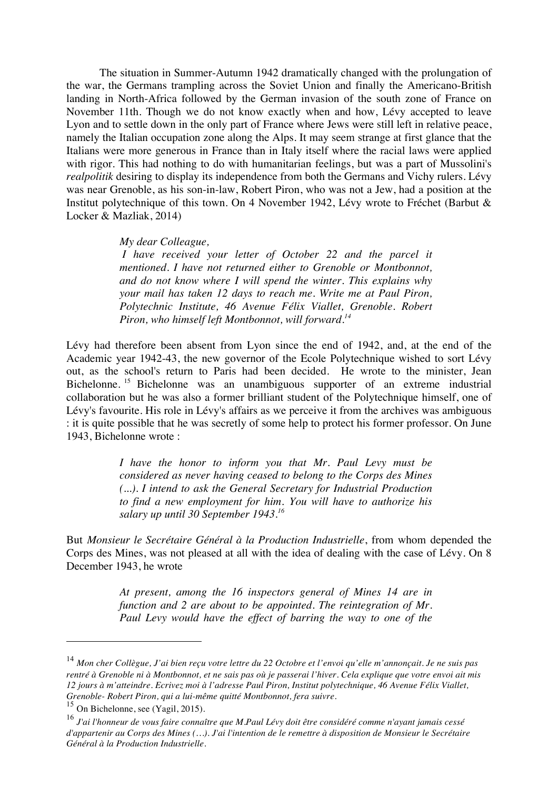The situation in Summer-Autumn 1942 dramatically changed with the prolungation of the war, the Germans trampling across the Soviet Union and finally the Americano-British landing in North-Africa followed by the German invasion of the south zone of France on November 11th. Though we do not know exactly when and how, Lévy accepted to leave Lyon and to settle down in the only part of France where Jews were still left in relative peace, namely the Italian occupation zone along the Alps. It may seem strange at first glance that the Italians were more generous in France than in Italy itself where the racial laws were applied with rigor. This had nothing to do with humanitarian feelings, but was a part of Mussolini's *realpolitik* desiring to display its independence from both the Germans and Vichy rulers. Lévy was near Grenoble, as his son-in-law, Robert Piron, who was not a Jew, had a position at the Institut polytechnique of this town. On 4 November 1942, Lévy wrote to Fréchet (Barbut & Locker & Mazliak, 2014)

*My dear Colleague,*

 *I have received your letter of October 22 and the parcel it mentioned. I have not returned either to Grenoble or Montbonnot, and do not know where I will spend the winter. This explains why your mail has taken 12 days to reach me. Write me at Paul Piron, Polytechnic Institute, 46 Avenue Félix Viallet, Grenoble. Robert Piron, who himself left Montbonnot, will forward. 14*

Lévy had therefore been absent from Lyon since the end of 1942, and, at the end of the Academic year 1942-43, the new governor of the Ecole Polytechnique wished to sort Lévy out, as the school's return to Paris had been decided. He wrote to the minister, Jean Bichelonne. 15 Bichelonne was an unambiguous supporter of an extreme industrial collaboration but he was also a former brilliant student of the Polytechnique himself, one of Lévy's favourite. His role in Lévy's affairs as we perceive it from the archives was ambiguous : it is quite possible that he was secretly of some help to protect his former professor. On June 1943, Bichelonne wrote :

> *I have the honor to inform you that Mr. Paul Levy must be considered as never having ceased to belong to the Corps des Mines (...). I intend to ask the General Secretary for Industrial Production to find a new employment for him. You will have to authorize his salary up until 30 September 1943. 16*

But *Monsieur le Secrétaire Général à la Production Industrielle*, from whom depended the Corps des Mines, was not pleased at all with the idea of dealing with the case of Lévy. On 8 December 1943, he wrote

> *At present, among the 16 inspectors general of Mines 14 are in function and 2 are about to be appointed. The reintegration of Mr. Paul Levy would have the effect of barring the way to one of the*

<sup>14</sup> *Mon cher Collègue, J'ai bien reçu votre lettre du 22 Octobre et l'envoi qu'elle m'annonçait. Je ne suis pas rentré à Grenoble ni à Montbonnot, et ne sais pas où je passerai l'hiver. Cela explique que votre envoi ait mis 12 jours à m'atteindre. Ecrivez moi à l'adresse Paul Piron, Institut polytechnique, 46 Avenue Félix Viallet, Grenoble- Robert Piron, qui a lui-même quitté Montbonnot, fera suivre.*

<sup>15</sup> On Bichelonne, see (Yagil, 2015).

<sup>16</sup> *J'ai l'honneur de vous faire connaître que M.Paul Lévy doit être considéré comme n'ayant jamais cessé d'appartenir au Corps des Mines (…). J'ai l'intention de le remettre à disposition de Monsieur le Secrétaire Général à la Production Industrielle.*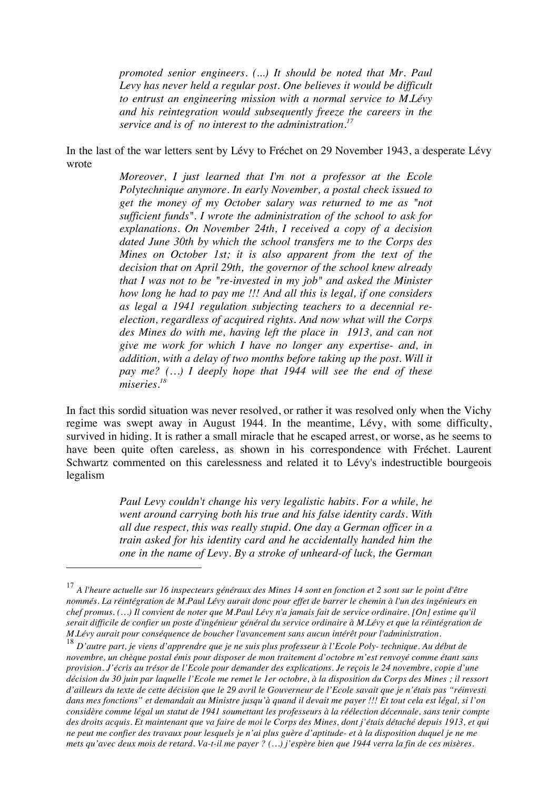*promoted senior engineers. (...) It should be noted that Mr. Paul Levy has never held a regular post. One believes it would be difficult to entrust an engineering mission with a normal service to M.Lévy and his reintegration would subsequently freeze the careers in the service and is of no interest to the administration. 17*

In the last of the war letters sent by Lévy to Fréchet on 29 November 1943, a desperate Lévy wrote

> *Moreover, I just learned that I'm not a professor at the Ecole Polytechnique anymore. In early November, a postal check issued to get the money of my October salary was returned to me as "not sufficient funds". I wrote the administration of the school to ask for explanations. On November 24th, I received a copy of a decision dated June 30th by which the school transfers me to the Corps des Mines on October 1st; it is also apparent from the text of the decision that on April 29th, the governor of the school knew already that I was not to be "re-invested in my job" and asked the Minister how long he had to pay me !!! And all this is legal, if one considers as legal a 1941 regulation subjecting teachers to a decennial reelection, regardless of acquired rights. And now what will the Corps des Mines do with me, having left the place in 1913, and can not give me work for which I have no longer any expertise- and, in addition, with a delay of two months before taking up the post. Will it pay me? (…) I deeply hope that 1944 will see the end of these miseries. 18*

In fact this sordid situation was never resolved, or rather it was resolved only when the Vichy regime was swept away in August 1944. In the meantime, Lévy, with some difficulty, survived in hiding. It is rather a small miracle that he escaped arrest, or worse, as he seems to have been quite often careless, as shown in his correspondence with Fréchet. Laurent Schwartz commented on this carelessness and related it to Lévy's indestructible bourgeois legalism

> *Paul Levy couldn't change his very legalistic habits. For a while, he went around carrying both his true and his false identity cards. With all due respect, this was really stupid. One day a German officer in a train asked for his identity card and he accidentally handed him the one in the name of Levy. By a stroke of unheard-of luck, the German*

<sup>17</sup> *A l'heure actuelle sur 16 inspecteurs généraux des Mines 14 sont en fonction et 2 sont sur le point d'être nommés. La réintégration de M.Paul Lévy aurait donc pour effet de barrer le chemin à l'un des ingénieurs en chef promus. (…) Il convient de noter que M.Paul Lévy n'a jamais fait de service ordinaire. [On] estime qu'il serait difficile de confier un poste d'ingénieur général du service ordinaire à M.Lévy et que la réintégration de M.Lévy aurait pour conséquence de boucher l'avancement sans aucun intérêt pour l'administration.*

<sup>18</sup> *D'autre part, je viens d'apprendre que je ne suis plus professeur à l'Ecole Poly- technique. Au début de novembre, un chèque postal émis pour disposer de mon traitement d'octobre m'est renvoyé comme étant sans provision. J'écris au trésor de l'Ecole pour demander des explications. Je reçois le 24 novembre, copie d'une décision du 30 juin par laquelle l'Ecole me remet le 1er octobre, à la disposition du Corps des Mines ; il ressort d'ailleurs du texte de cette décision que le 29 avril le Gouverneur de l'Ecole savait que je n'étais pas "réinvesti dans mes fonctions" et demandait au Ministre jusqu'à quand il devait me payer !!! Et tout cela est légal, si l'on considère comme légal un statut de 1941 soumettant les professeurs à la réélection décennale, sans tenir compte des droits acquis. Et maintenant que va faire de moi le Corps des Mines, dont j'étais détaché depuis 1913, et qui ne peut me confier des travaux pour lesquels je n'ai plus guère d'aptitude- et à la disposition duquel je ne me mets qu'avec deux mois de retard. Va-t-il me payer ? (…) j'espère bien que 1944 verra la fin de ces misères.*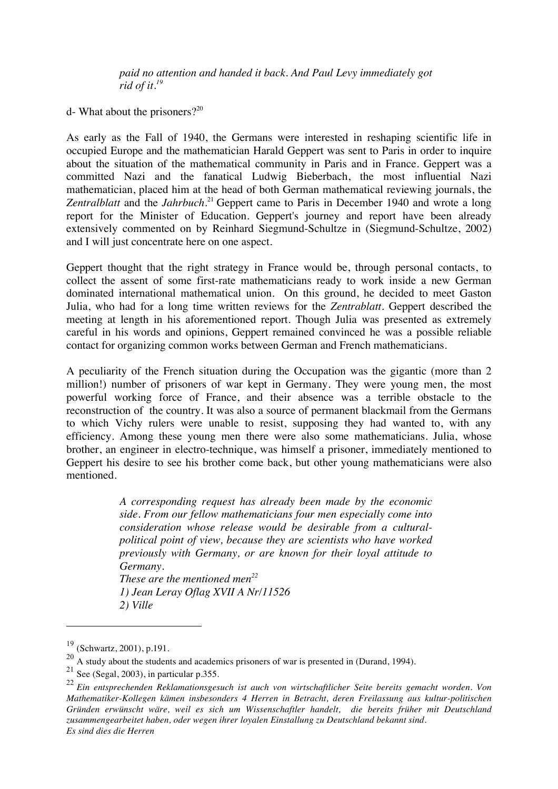*paid no attention and handed it back. And Paul Levy immediately got rid of it. 19*

d- What about the prisoners? $2^{20}$ 

As early as the Fall of 1940, the Germans were interested in reshaping scientific life in occupied Europe and the mathematician Harald Geppert was sent to Paris in order to inquire about the situation of the mathematical community in Paris and in France. Geppert was a committed Nazi and the fanatical Ludwig Bieberbach, the most influential Nazi mathematician, placed him at the head of both German mathematical reviewing journals, the Zentralblatt and the *Jahrbuch*.<sup>21</sup> Geppert came to Paris in December 1940 and wrote a long report for the Minister of Education. Geppert's journey and report have been already extensively commented on by Reinhard Siegmund-Schultze in (Siegmund-Schultze, 2002) and I will just concentrate here on one aspect.

Geppert thought that the right strategy in France would be, through personal contacts, to collect the assent of some first-rate mathematicians ready to work inside a new German dominated international mathematical union. On this ground, he decided to meet Gaston Julia, who had for a long time written reviews for the *Zentrablatt*. Geppert described the meeting at length in his aforementioned report. Though Julia was presented as extremely careful in his words and opinions, Geppert remained convinced he was a possible reliable contact for organizing common works between German and French mathematicians.

A peculiarity of the French situation during the Occupation was the gigantic (more than 2 million!) number of prisoners of war kept in Germany. They were young men, the most powerful working force of France, and their absence was a terrible obstacle to the reconstruction of the country. It was also a source of permanent blackmail from the Germans to which Vichy rulers were unable to resist, supposing they had wanted to, with any efficiency. Among these young men there were also some mathematicians. Julia, whose brother, an engineer in electro-technique, was himself a prisoner, immediately mentioned to Geppert his desire to see his brother come back, but other young mathematicians were also mentioned.

> *A corresponding request has already been made by the economic side. From our fellow mathematicians four men especially come into consideration whose release would be desirable from a culturalpolitical point of view, because they are scientists who have worked previously with Germany, or are known for their loyal attitude to Germany. These are the mentioned men22 1) Jean Leray Oflag XVII A Nr/11526 2) Ville*

<sup>19</sup> (Schwartz, 2001), p.191.

<sup>&</sup>lt;sup>20</sup> A study about the students and academics prisoners of war is presented in (Durand, 1994).

 $21$  See (Segal, 2003), in particular p.355.

<sup>22</sup> *Ein entsprechenden Reklamationsgesuch ist auch von wirtschaftlicher Seite bereits gemacht worden. Von Mathematiker-Kollegen kämen insbesonders 4 Herren in Betracht, deren Freilassung aus kultur-politischen Gründen erwünscht wäre, weil es sich um Wissenschaftler handelt, die bereits früher mit Deutschland zusammengearbeitet haben, oder wegen ihrer loyalen Einstallung zu Deutschland bekannt sind. Es sind dies die Herren*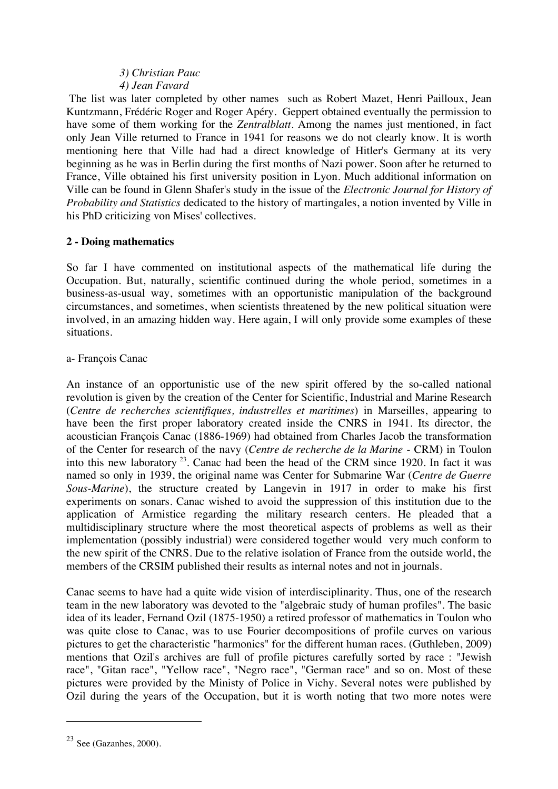## *3) Christian Pauc 4) Jean Favard*

The list was later completed by other names such as Robert Mazet, Henri Pailloux, Jean Kuntzmann, Frédéric Roger and Roger Apéry. Geppert obtained eventually the permission to have some of them working for the *Zentralblatt*. Among the names just mentioned, in fact only Jean Ville returned to France in 1941 for reasons we do not clearly know. It is worth mentioning here that Ville had had a direct knowledge of Hitler's Germany at its very beginning as he was in Berlin during the first months of Nazi power. Soon after he returned to France, Ville obtained his first university position in Lyon. Much additional information on Ville can be found in Glenn Shafer's study in the issue of the *Electronic Journal for History of Probability and Statistics* dedicated to the history of martingales, a notion invented by Ville in his PhD criticizing von Mises' collectives.

## **2 - Doing mathematics**

So far I have commented on institutional aspects of the mathematical life during the Occupation. But, naturally, scientific continued during the whole period, sometimes in a business-as-usual way, sometimes with an opportunistic manipulation of the background circumstances, and sometimes, when scientists threatened by the new political situation were involved, in an amazing hidden way. Here again, I will only provide some examples of these situations.

## a- François Canac

An instance of an opportunistic use of the new spirit offered by the so-called national revolution is given by the creation of the Center for Scientific, Industrial and Marine Research (*Centre de recherches scientifiques, industrelles et maritimes*) in Marseilles, appearing to have been the first proper laboratory created inside the CNRS in 1941. Its director, the acoustician François Canac (1886-1969) had obtained from Charles Jacob the transformation of the Center for research of the navy (*Centre de recherche de la Marine* - CRM) in Toulon into this new laboratory  $23$ . Canac had been the head of the CRM since 1920. In fact it was named so only in 1939, the original name was Center for Submarine War (*Centre de Guerre Sous-Marine*), the structure created by Langevin in 1917 in order to make his first experiments on sonars. Canac wished to avoid the suppression of this institution due to the application of Armistice regarding the military research centers. He pleaded that a multidisciplinary structure where the most theoretical aspects of problems as well as their implementation (possibly industrial) were considered together would very much conform to the new spirit of the CNRS. Due to the relative isolation of France from the outside world, the members of the CRSIM published their results as internal notes and not in journals.

Canac seems to have had a quite wide vision of interdisciplinarity. Thus, one of the research team in the new laboratory was devoted to the "algebraic study of human profiles". The basic idea of its leader, Fernand Ozil (1875-1950) a retired professor of mathematics in Toulon who was quite close to Canac, was to use Fourier decompositions of profile curves on various pictures to get the characteristic "harmonics" for the different human races. (Guthleben, 2009) mentions that Ozil's archives are full of profile pictures carefully sorted by race : "Jewish race", "Gitan race", "Yellow race", "Negro race", "German race" and so on. Most of these pictures were provided by the Ministy of Police in Vichy. Several notes were published by Ozil during the years of the Occupation, but it is worth noting that two more notes were

 $23$  See (Gazanhes, 2000).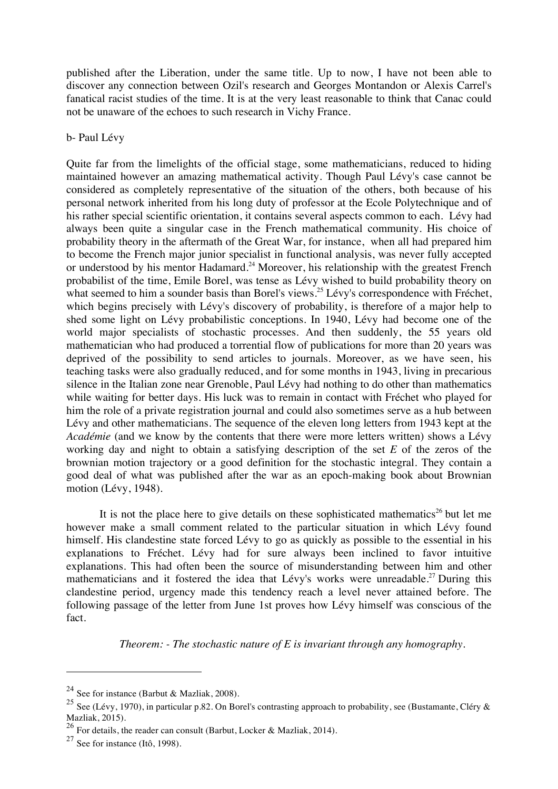published after the Liberation, under the same title. Up to now, I have not been able to discover any connection between Ozil's research and Georges Montandon or Alexis Carrel's fanatical racist studies of the time. It is at the very least reasonable to think that Canac could not be unaware of the echoes to such research in Vichy France.

#### b- Paul Lévy

Quite far from the limelights of the official stage, some mathematicians, reduced to hiding maintained however an amazing mathematical activity. Though Paul Lévy's case cannot be considered as completely representative of the situation of the others, both because of his personal network inherited from his long duty of professor at the Ecole Polytechnique and of his rather special scientific orientation, it contains several aspects common to each. Lévy had always been quite a singular case in the French mathematical community. His choice of probability theory in the aftermath of the Great War, for instance, when all had prepared him to become the French major junior specialist in functional analysis, was never fully accepted or understood by his mentor Hadamard.<sup>24</sup> Moreover, his relationship with the greatest French probabilist of the time, Emile Borel, was tense as Lévy wished to build probability theory on what seemed to him a sounder basis than Borel's views.<sup>25</sup> Lévy's correspondence with Fréchet, which begins precisely with Lévy's discovery of probability, is therefore of a major help to shed some light on Lévy probabilistic conceptions. In 1940, Lévy had become one of the world major specialists of stochastic processes. And then suddenly, the 55 years old mathematician who had produced a torrential flow of publications for more than 20 years was deprived of the possibility to send articles to journals. Moreover, as we have seen, his teaching tasks were also gradually reduced, and for some months in 1943, living in precarious silence in the Italian zone near Grenoble, Paul Lévy had nothing to do other than mathematics while waiting for better days. His luck was to remain in contact with Fréchet who played for him the role of a private registration journal and could also sometimes serve as a hub between Lévy and other mathematicians. The sequence of the eleven long letters from 1943 kept at the *Académie* (and we know by the contents that there were more letters written) shows a Lévy working day and night to obtain a satisfying description of the set *E* of the zeros of the brownian motion trajectory or a good definition for the stochastic integral. They contain a good deal of what was published after the war as an epoch-making book about Brownian motion (Lévy, 1948).

It is not the place here to give details on these sophisticated mathematics<sup>26</sup> but let me however make a small comment related to the particular situation in which Lévy found himself. His clandestine state forced Lévy to go as quickly as possible to the essential in his explanations to Fréchet. Lévy had for sure always been inclined to favor intuitive explanations. This had often been the source of misunderstanding between him and other mathematicians and it fostered the idea that Lévy's works were unreadable.<sup>27</sup> During this clandestine period, urgency made this tendency reach a level never attained before. The following passage of the letter from June 1st proves how Lévy himself was conscious of the fact.

*Theorem: - The stochastic nature of E is invariant through any homography.*

<sup>&</sup>lt;sup>24</sup> See for instance (Barbut & Mazliak, 2008).

<sup>&</sup>lt;sup>25</sup> See (Lévy, 1970), in particular p.82. On Borel's contrasting approach to probability, see (Bustamante, Cléry & Mazliak, 2015).

<sup>26</sup> For details, the reader can consult (Barbut, Locker & Mazliak, 2014).

 $27$  See for instance (Itô, 1998).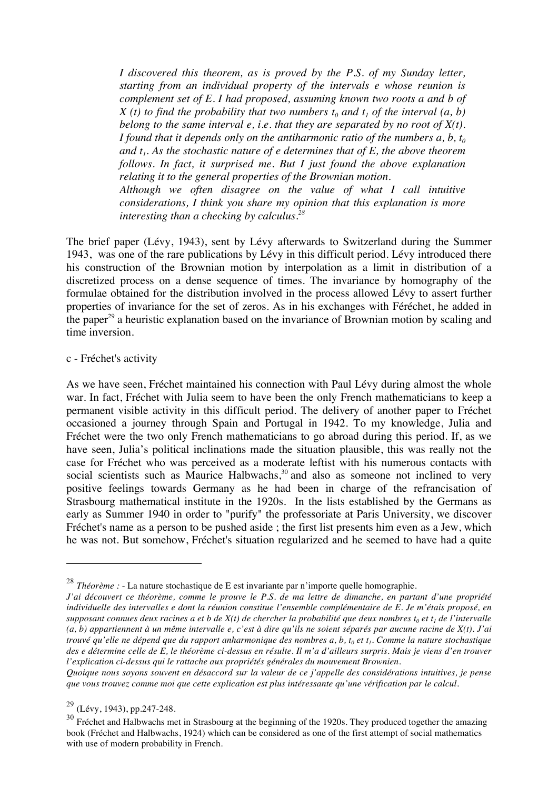*I discovered this theorem, as is proved by the P.S. of my Sunday letter, starting from an individual property of the intervals e whose reunion is complement set of E. I had proposed, assuming known two roots a and b of X (t) to find the probability that two numbers*  $t_0$  *and*  $t_1$  *of the interval (a, b) belong to the same interval e, i.e. that they are separated by no root of X(t). I found that it depends only on the antiharmonic ratio of the numbers*  $a, b, t_0$ and  $t_1$ . As the stochastic nature of e determines that of  $E$ , the above theorem *follows. In fact, it surprised me. But I just found the above explanation relating it to the general properties of the Brownian motion.*

*Although we often disagree on the value of what I call intuitive considerations, I think you share my opinion that this explanation is more interesting than a checking by calculus. 28*

The brief paper (Lévy, 1943), sent by Lévy afterwards to Switzerland during the Summer 1943, was one of the rare publications by Lévy in this difficult period. Lévy introduced there his construction of the Brownian motion by interpolation as a limit in distribution of a discretized process on a dense sequence of times. The invariance by homography of the formulae obtained for the distribution involved in the process allowed Lévy to assert further properties of invariance for the set of zeros. As in his exchanges with Féréchet, he added in the paper<sup>29</sup> a heuristic explanation based on the invariance of Brownian motion by scaling and time inversion.

#### c - Fréchet's activity

As we have seen, Fréchet maintained his connection with Paul Lévy during almost the whole war. In fact, Fréchet with Julia seem to have been the only French mathematicians to keep a permanent visible activity in this difficult period. The delivery of another paper to Fréchet occasioned a journey through Spain and Portugal in 1942. To my knowledge, Julia and Fréchet were the two only French mathematicians to go abroad during this period. If, as we have seen, Julia's political inclinations made the situation plausible, this was really not the case for Fréchet who was perceived as a moderate leftist with his numerous contacts with social scientists such as Maurice Halbwachs,<sup>30</sup> and also as someone not inclined to very positive feelings towards Germany as he had been in charge of the refrancisation of Strasbourg mathematical institute in the 1920s. In the lists established by the Germans as early as Summer 1940 in order to "purify" the professoriate at Paris University, we discover Fréchet's name as a person to be pushed aside ; the first list presents him even as a Jew, which he was not. But somehow, Fréchet's situation regularized and he seemed to have had a quite

<sup>28</sup> *Théorème :* - La nature stochastique de E est invariante par n'importe quelle homographie.

*J'ai découvert ce théorème, comme le prouve le P.S. de ma lettre de dimanche, en partant d'une propriété individuelle des intervalles e dont la réunion constitue l'ensemble complémentaire de E. Je m'étais proposé, en supposant connues deux racines a et b de*  $X(t)$  *de chercher la probabilité que deux nombres*  $t_0$  *et*  $t_1$  *de l'intervalle (a, b) appartiennent à un même intervalle e, c'est à dire qu'ils ne soient séparés par aucune racine de X(t). J'ai trouvé qu'elle ne dépend que du rapport anharmonique des nombres a, b, t<sub>0</sub> et t<sub>1</sub>. Comme la nature stochastique des e détermine celle de E, le théorème ci-dessus en résulte. Il m'a d'ailleurs surpris. Mais je viens d'en trouver l'explication ci-dessus qui le rattache aux propriétés générales du mouvement Brownien.*

*Quoique nous soyons souvent en désaccord sur la valeur de ce j'appelle des considérations intuitives, je pense que vous trouvez comme moi que cette explication est plus intéressante qu'une vérification par le calcul.*

 $29$  (Lévy, 1943), pp.247-248.

<sup>&</sup>lt;sup>30</sup> Fréchet and Halbwachs met in Strasbourg at the beginning of the 1920s. They produced together the amazing book (Fréchet and Halbwachs, 1924) which can be considered as one of the first attempt of social mathematics with use of modern probability in French.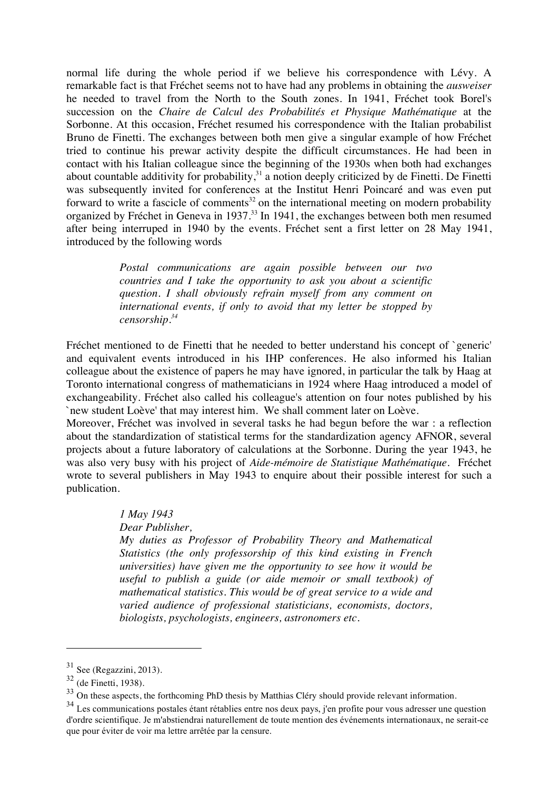normal life during the whole period if we believe his correspondence with Lévy. A remarkable fact is that Fréchet seems not to have had any problems in obtaining the *ausweiser*  he needed to travel from the North to the South zones. In 1941, Fréchet took Borel's succession on the *Chaire de Calcul des Probabilités et Physique Mathématique* at the Sorbonne. At this occasion, Fréchet resumed his correspondence with the Italian probabilist Bruno de Finetti. The exchanges between both men give a singular example of how Fréchet tried to continue his prewar activity despite the difficult circumstances. He had been in contact with his Italian colleague since the beginning of the 1930s when both had exchanges about countable additivity for probability, $31$  a notion deeply criticized by de Finetti. De Finetti was subsequently invited for conferences at the Institut Henri Poincaré and was even put forward to write a fascicle of comments<sup>32</sup> on the international meeting on modern probability organized by Fréchet in Geneva in 1937. 33 In 1941, the exchanges between both men resumed after being interruped in 1940 by the events. Fréchet sent a first letter on 28 May 1941, introduced by the following words

> *Postal communications are again possible between our two countries and I take the opportunity to ask you about a scientific question. I shall obviously refrain myself from any comment on international events, if only to avoid that my letter be stopped by censorship. 34*

Fréchet mentioned to de Finetti that he needed to better understand his concept of `generic' and equivalent events introduced in his IHP conferences. He also informed his Italian colleague about the existence of papers he may have ignored, in particular the talk by Haag at Toronto international congress of mathematicians in 1924 where Haag introduced a model of exchangeability. Fréchet also called his colleague's attention on four notes published by his `new student Loève' that may interest him. We shall comment later on Loève.

Moreover, Fréchet was involved in several tasks he had begun before the war : a reflection about the standardization of statistical terms for the standardization agency AFNOR, several projects about a future laboratory of calculations at the Sorbonne. During the year 1943, he was also very busy with his project of *Aide-mémoire de Statistique Mathématique*. Fréchet wrote to several publishers in May 1943 to enquire about their possible interest for such a publication.

*1 May 1943*

*Dear Publisher,*

*My duties as Professor of Probability Theory and Mathematical Statistics (the only professorship of this kind existing in French universities) have given me the opportunity to see how it would be useful to publish a guide (or aide memoir or small textbook) of mathematical statistics. This would be of great service to a wide and varied audience of professional statisticians, economists, doctors, biologists, psychologists, engineers, astronomers etc.*

 $31$  See (Regazzini, 2013).

 $32$  (de Finetti, 1938).

<sup>&</sup>lt;sup>33</sup> On these aspects, the forthcoming PhD thesis by Matthias Cléry should provide relevant information.

<sup>&</sup>lt;sup>34</sup> Les communications postales étant rétablies entre nos deux pays, j'en profite pour vous adresser une question d'ordre scientifique. Je m'abstiendrai naturellement de toute mention des événements internationaux, ne serait-ce que pour éviter de voir ma lettre arrêtée par la censure.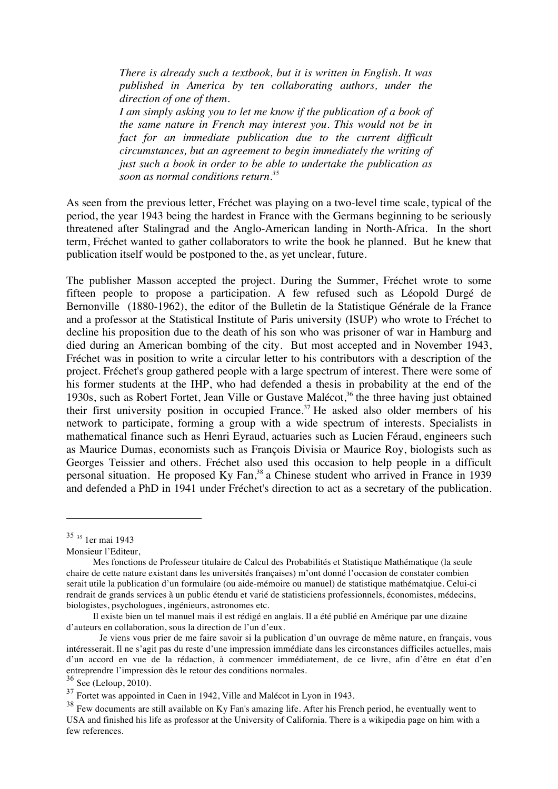*There is already such a textbook, but it is written in English. It was published in America by ten collaborating authors, under the direction of one of them.*

*I am simply asking you to let me know if the publication of a book of the same nature in French may interest you. This would not be in fact for an immediate publication due to the current difficult circumstances, but an agreement to begin immediately the writing of just such a book in order to be able to undertake the publication as soon as normal conditions return. 35*

As seen from the previous letter, Fréchet was playing on a two-level time scale, typical of the period, the year 1943 being the hardest in France with the Germans beginning to be seriously threatened after Stalingrad and the Anglo-American landing in North-Africa. In the short term, Fréchet wanted to gather collaborators to write the book he planned. But he knew that publication itself would be postponed to the, as yet unclear, future.

The publisher Masson accepted the project. During the Summer, Fréchet wrote to some fifteen people to propose a participation. A few refused such as Léopold Durgé de Bernonville (1880-1962), the editor of the Bulletin de la Statistique Générale de la France and a professor at the Statistical Institute of Paris university (ISUP) who wrote to Fréchet to decline his proposition due to the death of his son who was prisoner of war in Hamburg and died during an American bombing of the city. But most accepted and in November 1943, Fréchet was in position to write a circular letter to his contributors with a description of the project. Fréchet's group gathered people with a large spectrum of interest. There were some of his former students at the IHP, who had defended a thesis in probability at the end of the 1930s, such as Robert Fortet, Jean Ville or Gustave Malécot, 36 the three having just obtained their first university position in occupied France.<sup>37</sup> He asked also older members of his network to participate, forming a group with a wide spectrum of interests. Specialists in mathematical finance such as Henri Eyraud, actuaries such as Lucien Féraud, engineers such as Maurice Dumas, economists such as François Divisia or Maurice Roy, biologists such as Georges Teissier and others. Fréchet also used this occasion to help people in a difficult personal situation. He proposed Ky Fan,<sup>38</sup> a Chinese student who arrived in France in 1939 and defended a PhD in 1941 under Fréchet's direction to act as a secretary of the publication.

<sup>35</sup> <sup>35</sup> 1er mai 1943

Monsieur l'Editeur,

Mes fonctions de Professeur titulaire de Calcul des Probabilités et Statistique Mathématique (la seule chaire de cette nature existant dans les universités françaises) m'ont donné l'occasion de constater combien serait utile la publication d'un formulaire (ou aide-mémoire ou manuel) de statistique mathématqiue. Celui-ci rendrait de grands services à un public étendu et varié de statisticiens professionnels, économistes, médecins, biologistes, psychologues, ingénieurs, astronomes etc.

Il existe bien un tel manuel mais il est rédigé en anglais. Il a été publié en Amérique par une dizaine d'auteurs en collaboration, sous la direction de l'un d'eux.

Je viens vous prier de me faire savoir si la publication d'un ouvrage de même nature, en français, vous intéresserait. Il ne s'agit pas du reste d'une impression immédiate dans les circonstances difficiles actuelles, mais d'un accord en vue de la rédaction, à commencer immédiatement, de ce livre, afin d'être en état d'en entreprendre l'impression dès le retour des conditions normales.

 $36$  See (Leloup, 2010).

<sup>37</sup> Fortet was appointed in Caen in 1942, Ville and Malécot in Lyon in 1943.

 $38$  Few documents are still available on Ky Fan's amazing life. After his French period, he eventually went to USA and finished his life as professor at the University of California. There is a wikipedia page on him with a few references.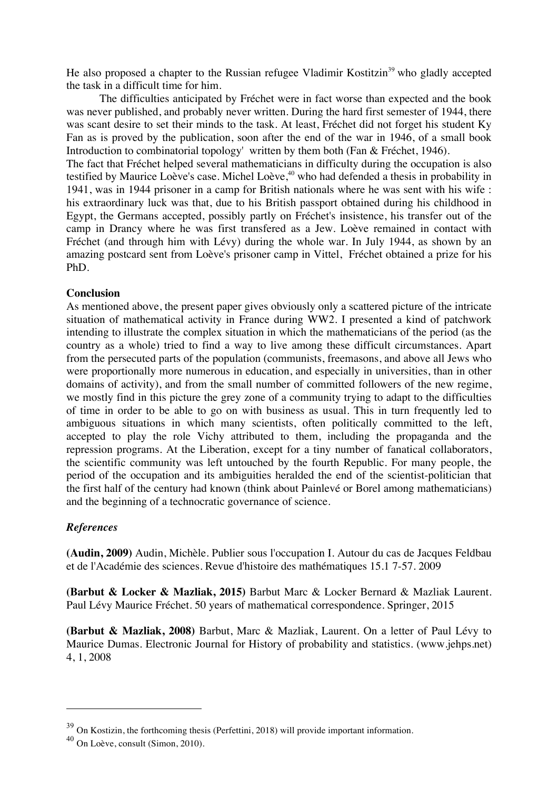He also proposed a chapter to the Russian refugee Vladimir Kostitzin<sup>39</sup> who gladly accepted the task in a difficult time for him.

The difficulties anticipated by Fréchet were in fact worse than expected and the book was never published, and probably never written. During the hard first semester of 1944, there was scant desire to set their minds to the task. At least, Fréchet did not forget his student Ky Fan as is proved by the publication, soon after the end of the war in 1946, of a small book Introduction to combinatorial topology' written by them both (Fan & Fréchet, 1946).

The fact that Fréchet helped several mathematicians in difficulty during the occupation is also testified by Maurice Loève's case. Michel Loève,<sup>40</sup> who had defended a thesis in probability in 1941, was in 1944 prisoner in a camp for British nationals where he was sent with his wife : his extraordinary luck was that, due to his British passport obtained during his childhood in Egypt, the Germans accepted, possibly partly on Fréchet's insistence, his transfer out of the camp in Drancy where he was first transfered as a Jew. Loève remained in contact with Fréchet (and through him with Lévy) during the whole war. In July 1944, as shown by an amazing postcard sent from Loève's prisoner camp in Vittel, Fréchet obtained a prize for his PhD.

### **Conclusion**

As mentioned above, the present paper gives obviously only a scattered picture of the intricate situation of mathematical activity in France during WW2. I presented a kind of patchwork intending to illustrate the complex situation in which the mathematicians of the period (as the country as a whole) tried to find a way to live among these difficult circumstances. Apart from the persecuted parts of the population (communists, freemasons, and above all Jews who were proportionally more numerous in education, and especially in universities, than in other domains of activity), and from the small number of committed followers of the new regime, we mostly find in this picture the grey zone of a community trying to adapt to the difficulties of time in order to be able to go on with business as usual. This in turn frequently led to ambiguous situations in which many scientists, often politically committed to the left, accepted to play the role Vichy attributed to them, including the propaganda and the repression programs. At the Liberation, except for a tiny number of fanatical collaborators, the scientific community was left untouched by the fourth Republic. For many people, the period of the occupation and its ambiguities heralded the end of the scientist-politician that the first half of the century had known (think about Painlevé or Borel among mathematicians) and the beginning of a technocratic governance of science.

#### *References*

 $\overline{a}$ 

**(Audin, 2009)** Audin, Michèle. Publier sous l'occupation I. Autour du cas de Jacques Feldbau et de l'Académie des sciences. Revue d'histoire des mathématiques 15.1 7-57. 2009

**(Barbut & Locker & Mazliak, 2015)** Barbut Marc & Locker Bernard & Mazliak Laurent. Paul Lévy Maurice Fréchet. 50 years of mathematical correspondence. Springer, 2015

**(Barbut & Mazliak, 2008)** Barbut, Marc & Mazliak, Laurent. On a letter of Paul Lévy to Maurice Dumas. Electronic Journal for History of probability and statistics. (www.jehps.net) 4, 1, 2008

<sup>39</sup> On Kostizin, the forthcoming thesis (Perfettini, 2018) will provide important information.

<sup>40</sup> On Loève, consult (Simon, 2010).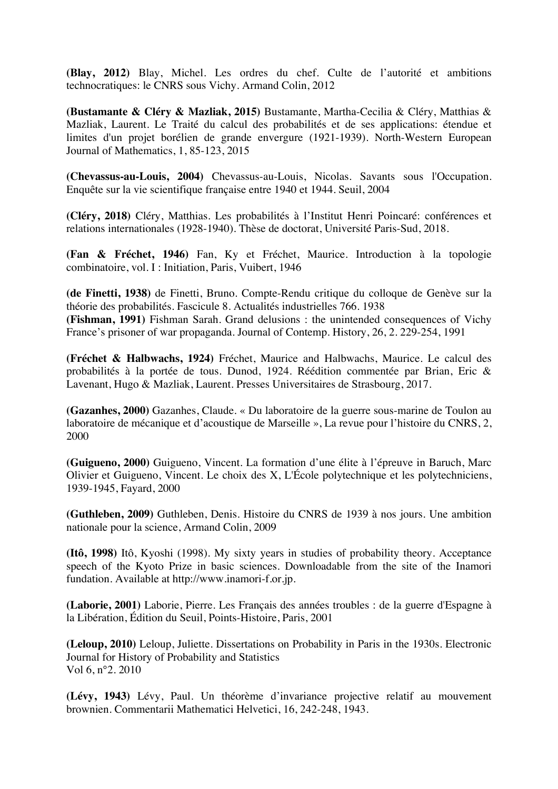**(Blay, 2012)** Blay, Michel. Les ordres du chef. Culte de l'autorité et ambitions technocratiques: le CNRS sous Vichy. Armand Colin, 2012

**(Bustamante & Cléry & Mazliak, 2015)** Bustamante, Martha-Cecilia & Cléry, Matthias & Mazliak, Laurent. Le Traité du calcul des probabilités et de ses applications: étendue et limites d'un projet borélien de grande envergure (1921-1939). North-Western European Journal of Mathematics, 1, 85-123, 2015

**(Chevassus-au-Louis, 2004)** Chevassus-au-Louis, Nicolas. Savants sous l'Occupation. Enquête sur la vie scientifique française entre 1940 et 1944. Seuil, 2004

**(Cléry, 2018)** Cléry, Matthias. Les probabilités à l'Institut Henri Poincaré: conférences et relations internationales (1928-1940). Thèse de doctorat, Université Paris-Sud, 2018.

**(Fan & Fréchet, 1946)** Fan, Ky et Fréchet, Maurice. Introduction à la topologie combinatoire, vol. I : Initiation, Paris, Vuibert, 1946

**(de Finetti, 1938)** de Finetti, Bruno. Compte-Rendu critique du colloque de Genève sur la théorie des probabilités. Fascicule 8. Actualités industrielles 766. 1938

**(Fishman, 1991)** Fishman Sarah. Grand delusions : the unintended consequences of Vichy France's prisoner of war propaganda. Journal of Contemp. History, 26, 2. 229-254, 1991

**(Fréchet & Halbwachs, 1924)** Fréchet, Maurice and Halbwachs, Maurice. Le calcul des probabilités à la portée de tous. Dunod, 1924. Réédition commentée par Brian, Eric & Lavenant, Hugo & Mazliak, Laurent. Presses Universitaires de Strasbourg, 2017.

**(Gazanhes, 2000)** Gazanhes, Claude. « Du laboratoire de la guerre sous-marine de Toulon au laboratoire de mécanique et d'acoustique de Marseille », La revue pour l'histoire du CNRS, 2, 2000

**(Guigueno, 2000)** Guigueno, Vincent. La formation d'une élite à l'épreuve in Baruch, Marc Olivier et Guigueno, Vincent. Le choix des X, L'École polytechnique et les polytechniciens, 1939-1945, Fayard, 2000

**(Guthleben, 2009)** Guthleben, Denis. Histoire du CNRS de 1939 à nos jours. Une ambition nationale pour la science, Armand Colin, 2009

**(Itô, 1998)** Itô, Kyoshi (1998). My sixty years in studies of probability theory. Acceptance speech of the Kyoto Prize in basic sciences. Downloadable from the site of the Inamori fundation. Available at http://www.inamori-f.or.jp.

**(Laborie, 2001)** Laborie, Pierre. Les Français des années troubles : de la guerre d'Espagne à la Libération, Édition du Seuil, Points-Histoire, Paris, 2001

**(Leloup, 2010)** Leloup, Juliette. Dissertations on Probability in Paris in the 1930s. Electronic Journal for History of Probability and Statistics Vol 6, n°2. 2010

**(Lévy, 1943)** Lévy, Paul. Un théorème d'invariance projective relatif au mouvement brownien. Commentarii Mathematici Helvetici, 16, 242-248, 1943.